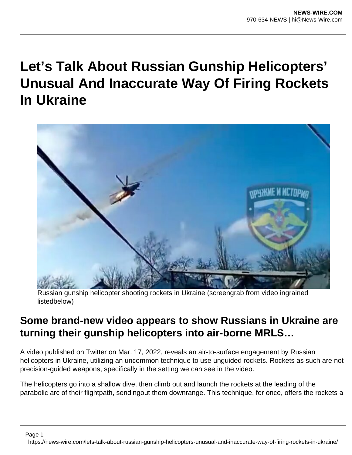## **Let's Talk About Russian Gunship Helicopters' Unusual And Inaccurate Way Of Firing Rockets In Ukraine**



Russian gunship helicopter shooting rockets in Ukraine (screengrab from video ingrained listedbelow)

## **Some brand-new video appears to show Russians in Ukraine are turning their gunship helicopters into air-borne MRLS…**

A video published on Twitter on Mar. 17, 2022, reveals an air-to-surface engagement by Russian helicopters in Ukraine, utilizing an uncommon technique to use unguided rockets. Rockets as such are not precision-guided weapons, specifically in the setting we can see in the video.

The helicopters go into a shallow dive, then climb out and launch the rockets at the leading of the parabolic arc of their flightpath, sendingout them downrange. This technique, for once, offers the rockets a

Page 1

https://news-wire.com/lets-talk-about-russian-gunship-helicopters-unusual-and-inaccurate-way-of-firing-rockets-in-ukraine/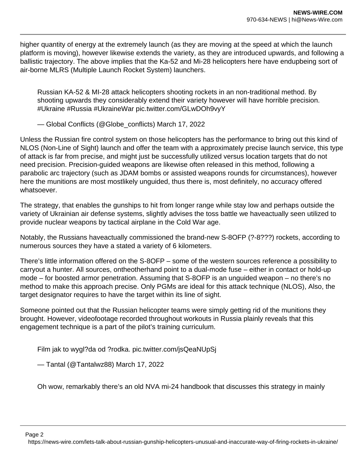higher quantity of energy at the extremely launch (as they are moving at the speed at which the launch platform is moving), however likewise extends the variety, as they are introduced upwards, and following a ballistic trajectory. The above implies that the Ka-52 and Mi-28 helicopters here have endupbeing sort of air-borne MLRS (Multiple Launch Rocket System) launchers.

Russian KA-52 & MI-28 attack helicopters shooting rockets in an non-traditional method. By shooting upwards they considerably extend their variety however will have horrible precision. #Ukraine #Russia #UkraineWar pic.twitter.com/GLwDOh9vyY

— Global Conflicts (@Globe\_conflicts) March 17, 2022

Unless the Russian fire control system on those helicopters has the performance to bring out this kind of NLOS (Non-Line of Sight) launch and offer the team with a approximately precise launch service, this type of attack is far from precise, and might just be successfully utilized versus location targets that do not need precision. Precision-guided weapons are likewise often released in this method, following a parabolic arc trajectory (such as JDAM bombs or assisted weapons rounds for circumstances), however here the munitions are most mostlikely unguided, thus there is, most definitely, no accuracy offered whatsoever.

The strategy, that enables the gunships to hit from longer range while stay low and perhaps outside the variety of Ukrainian air defense systems, slightly advises the toss battle we haveactually seen utilized to provide nuclear weapons by tactical airplane in the Cold War age.

Notably, the Russians haveactually commissioned the brand-new S-8OFP (?-8???) rockets, according to numerous sources they have a stated a variety of 6 kilometers.

There's little information offered on the S-8OFP – some of the western sources reference a possibility to carryout a hunter. All sources, ontheotherhand point to a dual-mode fuse – either in contact or hold-up mode – for boosted armor penetration. Assuming that S-8OFP is an unguided weapon – no there's no method to make this approach precise. Only PGMs are ideal for this attack technique (NLOS), Also, the target designator requires to have the target within its line of sight.

Someone pointed out that the Russian helicopter teams were simply getting rid of the munitions they brought. However, videofootage recorded throughout workouts in Russia plainly reveals that this engagement technique is a part of the pilot's training curriculum.

Film jak to wygl?da od ?rodka. pic.twitter.com/jsQeaNUpSj

— Tantal (@Tantalwz88) March 17, 2022

Oh wow, remarkably there's an old NVA mi-24 handbook that discusses this strategy in mainly

Page 2

https://news-wire.com/lets-talk-about-russian-gunship-helicopters-unusual-and-inaccurate-way-of-firing-rockets-in-ukraine/